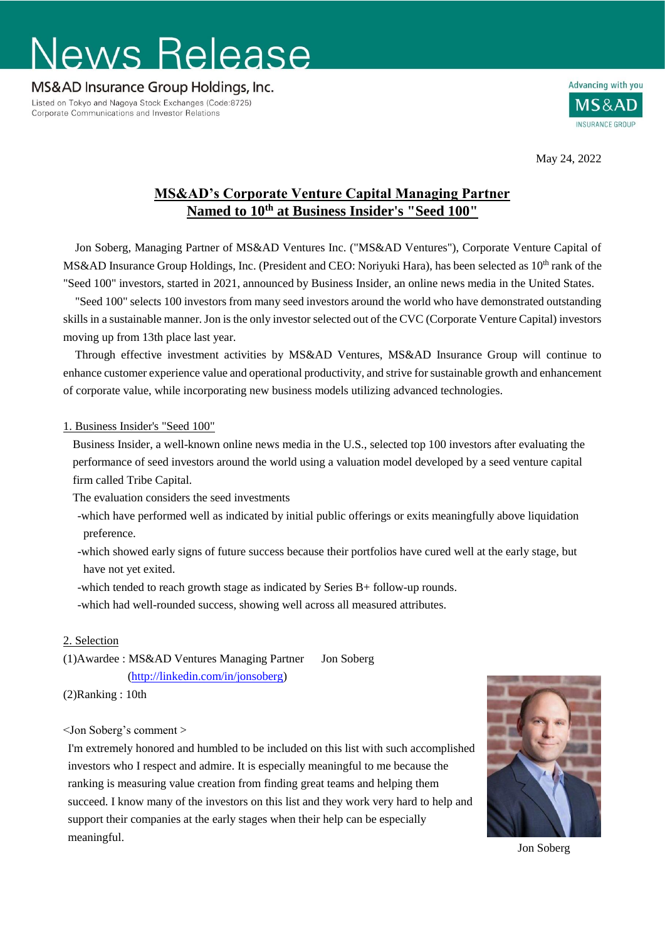# News Release

MS&AD Insurance Group Holdings, Inc. Listed on Tokyo and Nagoya Stock Exchanges (Code:8725) Corporate Communications and Investor Relations

Advancing with you INSURANCE GROUP

May 24, 2022

## **MS&AD's Corporate Venture Capital Managing Partner Named to 10th at Business Insider's "Seed 100"**

Jon Soberg, Managing Partner of MS&AD Ventures Inc. ("MS&AD Ventures"), Corporate Venture Capital of MS&AD Insurance Group Holdings, Inc. (President and CEO: Noriyuki Hara), has been selected as 10<sup>th</sup> rank of the "Seed 100" investors, started in 2021, announced by Business Insider, an online news media in the United States.

"Seed 100" selects 100 investors from many seed investors around the world who have demonstrated outstanding skills in a sustainable manner. Jon is the only investor selected out of the CVC (Corporate Venture Capital) investors moving up from 13th place last year.

Through effective investment activities by MS&AD Ventures, MS&AD Insurance Group will continue to enhance customer experience value and operational productivity, and strive for sustainable growth and enhancement of corporate value, while incorporating new business models utilizing advanced technologies.

#### 1. Business Insider's "Seed 100"

Business Insider, a well-known online news media in the U.S., selected top 100 investors after evaluating the performance of seed investors around the world using a valuation model developed by a seed venture capital firm called Tribe Capital.

The evaluation considers the seed investments

- -which have performed well as indicated by initial public offerings or exits meaningfully above liquidation preference.
- -which showed early signs of future success because their portfolios have cured well at the early stage, but have not yet exited.
- -which tended to reach growth stage as indicated by Series B+ follow-up rounds.

-which had well-rounded success, showing well across all measured attributes.

### 2. Selection

(1)Awardee : MS&AD Ventures Managing Partner Jon Soberg [\(http://linkedin.com/in/jonsoberg\)](http://linkedin.com/in/jonsoberg)

(2)Ranking : 10th

#### <Jon Soberg's comment >

I'm extremely honored and humbled to be included on this list with such accomplished investors who I respect and admire. It is especially meaningful to me because the ranking is measuring value creation from finding great teams and helping them succeed. I know many of the investors on this list and they work very hard to help and support their companies at the early stages when their help can be especially meaningful.



Jon Soberg